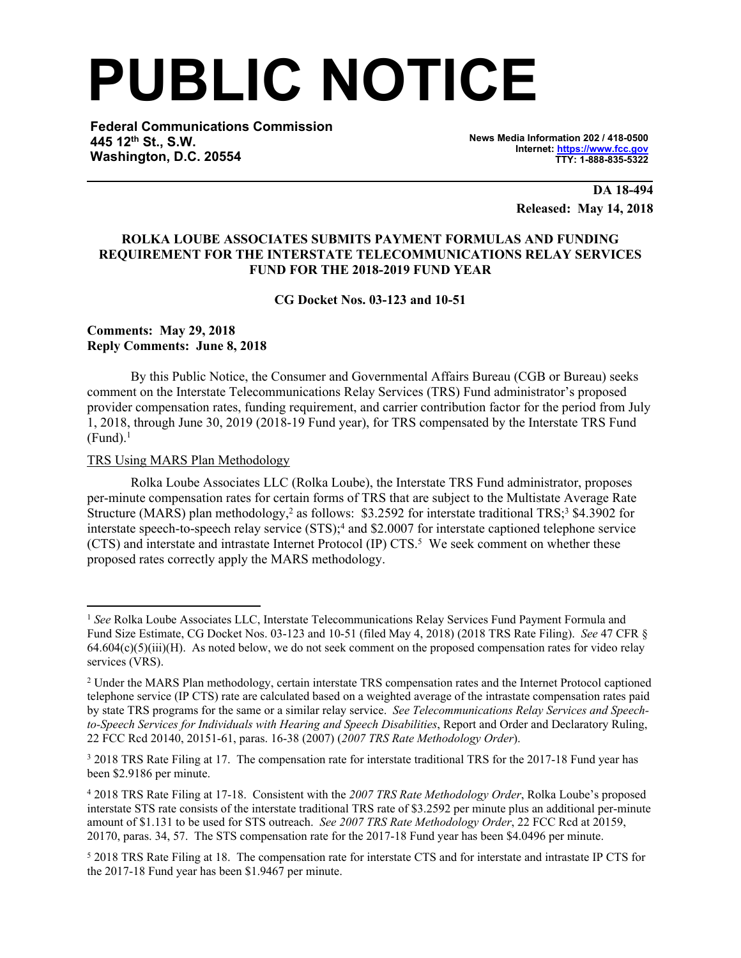# **PUBLIC NOTICE**

**Federal Communications Commission 445 12th St., S.W. Washington, D.C. 20554**

**News Media Information 202 / 418-0500 Internet: [https://www.fcc.gov](https://www.fcc.gov/) TTY: 1-888-835-5322**

> **DA 18-494 Released: May 14, 2018**

### **ROLKA LOUBE ASSOCIATES SUBMITS PAYMENT FORMULAS AND FUNDING REQUIREMENT FOR THE INTERSTATE TELECOMMUNICATIONS RELAY SERVICES FUND FOR THE 2018-2019 FUND YEAR**

**CG Docket Nos. 03-123 and 10-51**

## **Comments: May 29, 2018 Reply Comments: June 8, 2018**

By this Public Notice, the Consumer and Governmental Affairs Bureau (CGB or Bureau) seeks comment on the Interstate Telecommunications Relay Services (TRS) Fund administrator's proposed provider compensation rates, funding requirement, and carrier contribution factor for the period from July 1, 2018, through June 30, 2019 (2018-19 Fund year), for TRS compensated by the Interstate TRS Fund  $(Fund).<sup>1</sup>$ 

### TRS Using MARS Plan Methodology

Rolka Loube Associates LLC (Rolka Loube), the Interstate TRS Fund administrator, proposes per-minute compensation rates for certain forms of TRS that are subject to the Multistate Average Rate Structure (MARS) plan methodology,<sup>2</sup> as follows: \$3.2592 for interstate traditional TRS;<sup>3</sup> \$4.3902 for interstate speech-to-speech relay service (STS);<sup>4</sup> and \$2.0007 for interstate captioned telephone service (CTS) and interstate and intrastate Internet Protocol (IP) CTS.<sup>5</sup> We seek comment on whether these proposed rates correctly apply the MARS methodology.

<sup>1</sup> *See* Rolka Loube Associates LLC, Interstate Telecommunications Relay Services Fund Payment Formula and Fund Size Estimate, CG Docket Nos. 03-123 and 10-51 (filed May 4, 2018) (2018 TRS Rate Filing). *See* 47 CFR §  $64.604(c)(5)(iii)(H)$ . As noted below, we do not seek comment on the proposed compensation rates for video relay services (VRS).

<sup>&</sup>lt;sup>2</sup> Under the MARS Plan methodology, certain interstate TRS compensation rates and the Internet Protocol captioned telephone service (IP CTS) rate are calculated based on a weighted average of the intrastate compensation rates paid by state TRS programs for the same or a similar relay service. *See Telecommunications Relay Services and Speechto-Speech Services for Individuals with Hearing and Speech Disabilities*, Report and Order and Declaratory Ruling, 22 FCC Rcd 20140, 20151-61, paras. 16-38 (2007) (*2007 TRS Rate Methodology Order*).

<sup>&</sup>lt;sup>3</sup> 2018 TRS Rate Filing at 17. The compensation rate for interstate traditional TRS for the 2017-18 Fund year has been \$2.9186 per minute.

<sup>4</sup> 2018 TRS Rate Filing at 17-18. Consistent with the *2007 TRS Rate Methodology Order*, Rolka Loube's proposed interstate STS rate consists of the interstate traditional TRS rate of \$3.2592 per minute plus an additional per-minute amount of \$1.131 to be used for STS outreach. *See 2007 TRS Rate Methodology Order*, 22 FCC Rcd at 20159, 20170, paras. 34, 57. The STS compensation rate for the 2017-18 Fund year has been \$4.0496 per minute.

<sup>5</sup> 2018 TRS Rate Filing at 18. The compensation rate for interstate CTS and for interstate and intrastate IP CTS for the 2017-18 Fund year has been \$1.9467 per minute.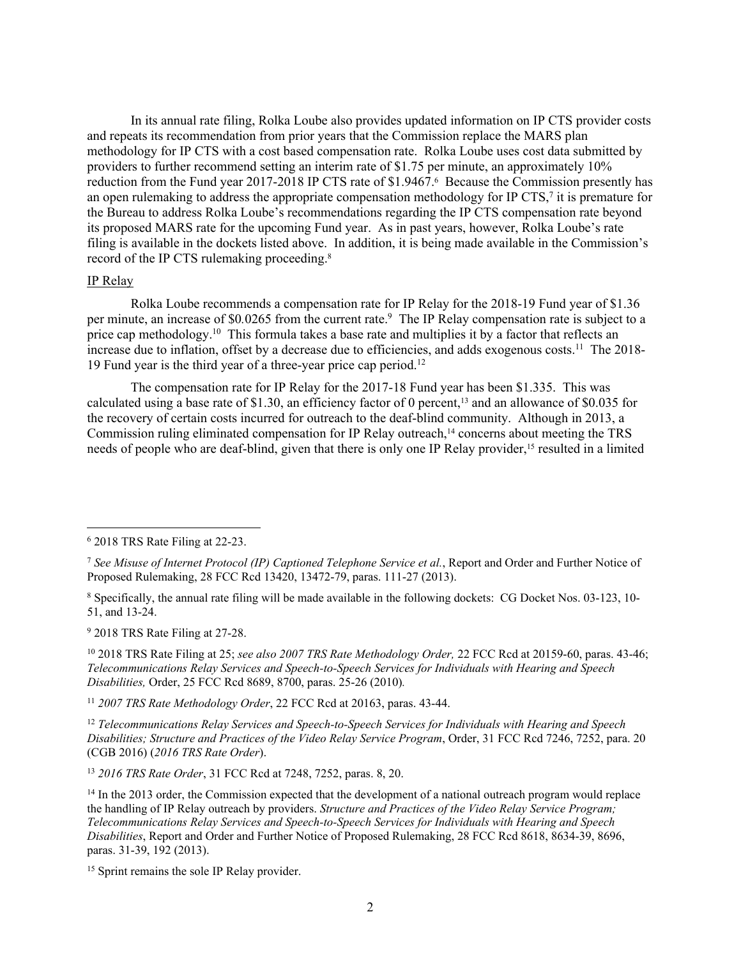In its annual rate filing, Rolka Loube also provides updated information on IP CTS provider costs and repeats its recommendation from prior years that the Commission replace the MARS plan methodology for IP CTS with a cost based compensation rate. Rolka Loube uses cost data submitted by providers to further recommend setting an interim rate of \$1.75 per minute, an approximately 10% reduction from the Fund year 2017-2018 IP CTS rate of \$1.9467.<sup>6</sup> Because the Commission presently has an open rulemaking to address the appropriate compensation methodology for IP CTS, $\frac{7}{7}$  it is premature for the Bureau to address Rolka Loube's recommendations regarding the IP CTS compensation rate beyond its proposed MARS rate for the upcoming Fund year. As in past years, however, Rolka Loube's rate filing is available in the dockets listed above. In addition, it is being made available in the Commission's record of the IP CTS rulemaking proceeding.<sup>8</sup>

### IP Relay

Rolka Loube recommends a compensation rate for IP Relay for the 2018-19 Fund year of \$1.36 per minute, an increase of \$0.0265 from the current rate.<sup>9</sup> The IP Relay compensation rate is subject to a price cap methodology.<sup>10</sup> This formula takes a base rate and multiplies it by a factor that reflects an increase due to inflation, offset by a decrease due to efficiencies, and adds exogenous costs.<sup>11</sup> The 2018-19 Fund year is the third year of a three-year price cap period.<sup>12</sup>

The compensation rate for IP Relay for the 2017-18 Fund year has been \$1.335. This was calculated using a base rate of \$1.30, an efficiency factor of 0 percent,<sup>13</sup> and an allowance of \$0.035 for the recovery of certain costs incurred for outreach to the deaf-blind community. Although in 2013, a Commission ruling eliminated compensation for IP Relay outreach,<sup>14</sup> concerns about meeting the TRS needs of people who are deaf-blind, given that there is only one IP Relay provider,15 resulted in a limited

<sup>9</sup> 2018 TRS Rate Filing at 27-28.

<sup>10</sup> 2018 TRS Rate Filing at 25; *see also 2007 TRS Rate Methodology Order,* 22 FCC Rcd at 20159-60, paras. 43-46; *Telecommunications Relay Services and Speech-to-Speech Services for Individuals with Hearing and Speech Disabilities,* Order, 25 FCC Rcd 8689, 8700, paras. 25-26 (2010)*.*

<sup>11</sup> *2007 TRS Rate Methodology Order*, 22 FCC Rcd at 20163, paras. 43-44.

<sup>12</sup> *Telecommunications Relay Services and Speech-to-Speech Services for Individuals with Hearing and Speech Disabilities; Structure and Practices of the Video Relay Service Program*, Order, 31 FCC Rcd 7246, 7252, para. 20 (CGB 2016) (*2016 TRS Rate Order*).

<sup>13</sup> *2016 TRS Rate Order*, 31 FCC Rcd at 7248, 7252, paras. 8, 20.

<sup>6</sup> 2018 TRS Rate Filing at 22-23.

<sup>7</sup> *See Misuse of Internet Protocol (IP) Captioned Telephone Service et al.*, Report and Order and Further Notice of Proposed Rulemaking, 28 FCC Rcd 13420, 13472-79, paras. 111-27 (2013).

<sup>8</sup> Specifically, the annual rate filing will be made available in the following dockets: CG Docket Nos. 03-123, 10- 51, and 13-24.

<sup>&</sup>lt;sup>14</sup> In the 2013 order, the Commission expected that the development of a national outreach program would replace the handling of IP Relay outreach by providers. *Structure and Practices of the Video Relay Service Program; Telecommunications Relay Services and Speech-to-Speech Services for Individuals with Hearing and Speech Disabilities*, Report and Order and Further Notice of Proposed Rulemaking, 28 FCC Rcd 8618, 8634-39, 8696, paras. 31-39, 192 (2013).

<sup>15</sup> Sprint remains the sole IP Relay provider.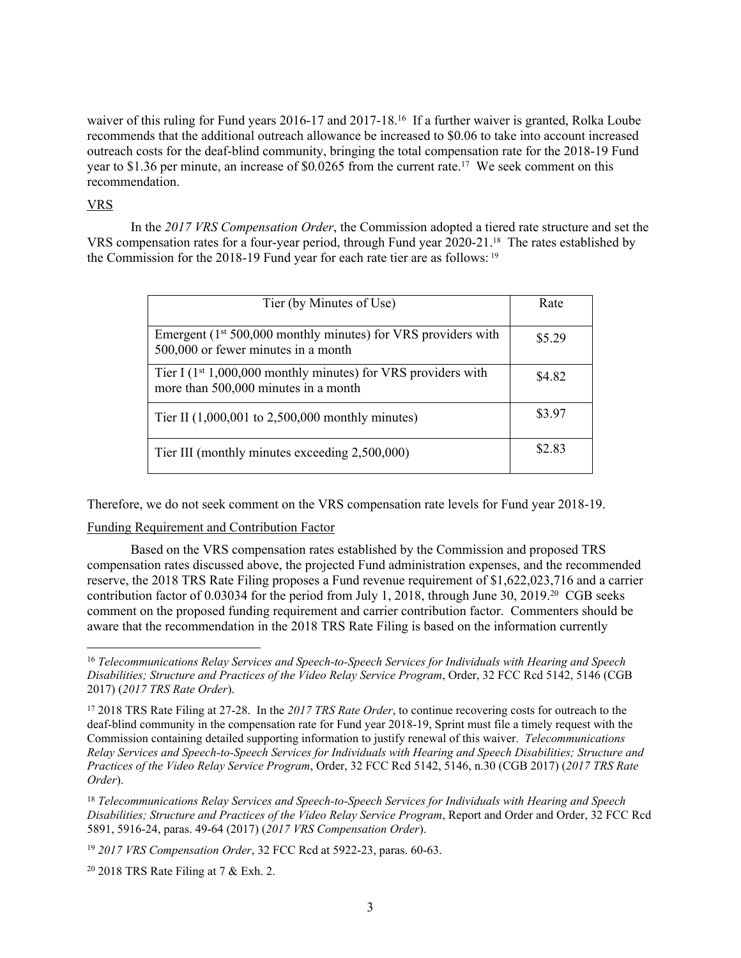waiver of this ruling for Fund years 2016-17 and 2017-18.<sup>16</sup> If a further waiver is granted, Rolka Loube recommends that the additional outreach allowance be increased to \$0.06 to take into account increased outreach costs for the deaf-blind community, bringing the total compensation rate for the 2018-19 Fund year to \$1.36 per minute, an increase of \$0*.*0265 from the current rate.<sup>17</sup> We seek comment on this recommendation.

# VRS

In the *2017 VRS Compensation Order*, the Commission adopted a tiered rate structure and set the VRS compensation rates for a four-year period, through Fund year 2020-21.18 The rates established by the Commission for the 2018-19 Fund year for each rate tier are as follows: <sup>19</sup>

| Tier (by Minutes of Use)                                                                                   | Rate   |
|------------------------------------------------------------------------------------------------------------|--------|
| Emergent $(1^{st} 500,000$ monthly minutes) for VRS providers with<br>500,000 or fewer minutes in a month  | \$529  |
| Tier I $(1^{st} 1,000,000$ monthly minutes) for VRS providers with<br>more than 500,000 minutes in a month | \$4 82 |
| Tier II $(1,000,001)$ to 2,500,000 monthly minutes)                                                        | \$3.97 |
| Tier III (monthly minutes exceeding 2,500,000)                                                             | \$2.83 |

Therefore, we do not seek comment on the VRS compensation rate levels for Fund year 2018-19.

### Funding Requirement and Contribution Factor

Based on the VRS compensation rates established by the Commission and proposed TRS compensation rates discussed above, the projected Fund administration expenses, and the recommended reserve, the 2018 TRS Rate Filing proposes a Fund revenue requirement of \$1,622,023,716 and a carrier contribution factor of 0.03034 for the period from July 1, 2018, through June 30, 2019.<sup>20</sup> CGB seeks comment on the proposed funding requirement and carrier contribution factor. Commenters should be aware that the recommendation in the 2018 TRS Rate Filing is based on the information currently

<sup>16</sup> *Telecommunications Relay Services and Speech-to-Speech Services for Individuals with Hearing and Speech Disabilities; Structure and Practices of the Video Relay Service Program*, Order, 32 FCC Rcd 5142, 5146 (CGB 2017) (*2017 TRS Rate Order*).

<sup>17</sup> 2018 TRS Rate Filing at 27-28. In the *2017 TRS Rate Order*, to continue recovering costs for outreach to the deaf-blind community in the compensation rate for Fund year 2018-19, Sprint must file a timely request with the Commission containing detailed supporting information to justify renewal of this waiver. *Telecommunications Relay Services and Speech-to-Speech Services for Individuals with Hearing and Speech Disabilities; Structure and Practices of the Video Relay Service Program*, Order, 32 FCC Rcd 5142, 5146, n.30 (CGB 2017) (*2017 TRS Rate Order*).

<sup>18</sup> *Telecommunications Relay Services and Speech-to-Speech Services for Individuals with Hearing and Speech Disabilities; Structure and Practices of the Video Relay Service Program*, Report and Order and Order, 32 FCC Rcd 5891, 5916-24, paras. 49-64 (2017) (*2017 VRS Compensation Order*).

<sup>19</sup> *2017 VRS Compensation Order*, 32 FCC Rcd at 5922-23, paras. 60-63.

 $20$  2018 TRS Rate Filing at 7 & Exh. 2.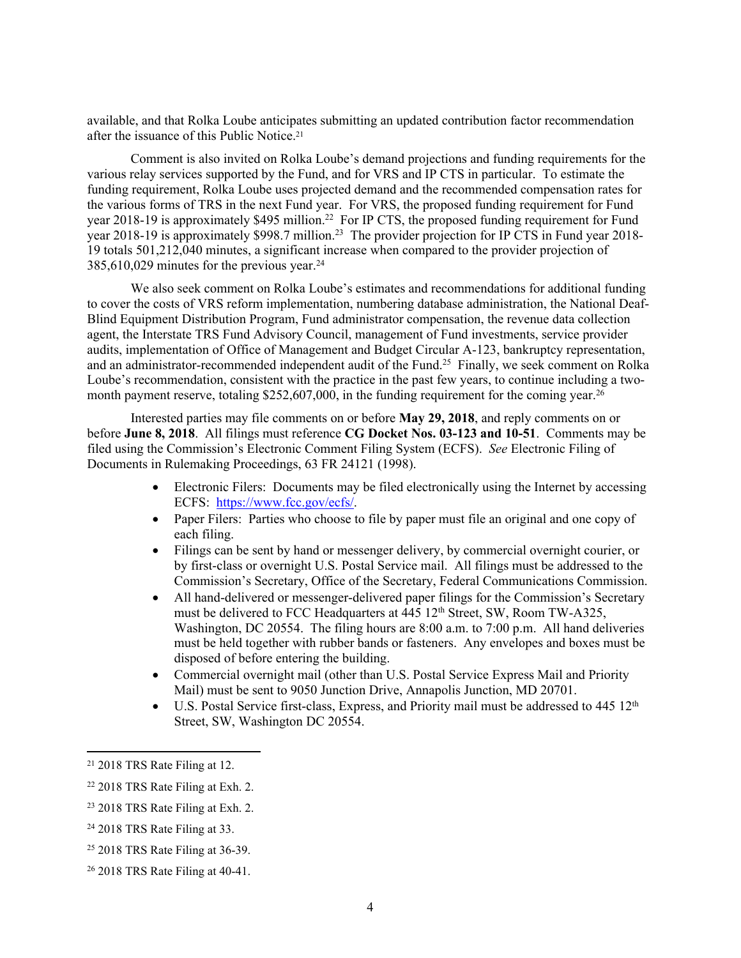available, and that Rolka Loube anticipates submitting an updated contribution factor recommendation after the issuance of this Public Notice.<sup>21</sup>

Comment is also invited on Rolka Loube's demand projections and funding requirements for the various relay services supported by the Fund, and for VRS and IP CTS in particular. To estimate the funding requirement, Rolka Loube uses projected demand and the recommended compensation rates for the various forms of TRS in the next Fund year. For VRS, the proposed funding requirement for Fund year 2018-19 is approximately \$495 million.<sup>22</sup> For IP CTS, the proposed funding requirement for Fund year 2018-19 is approximately \$998.7 million.<sup>23</sup> The provider projection for IP CTS in Fund year 2018-19 totals 501,212,040 minutes, a significant increase when compared to the provider projection of 385,610,029 minutes for the previous year.<sup>24</sup>

We also seek comment on Rolka Loube's estimates and recommendations for additional funding to cover the costs of VRS reform implementation, numbering database administration, the National Deaf-Blind Equipment Distribution Program, Fund administrator compensation, the revenue data collection agent, the Interstate TRS Fund Advisory Council, management of Fund investments, service provider audits, implementation of Office of Management and Budget Circular A-123, bankruptcy representation, and an administrator-recommended independent audit of the Fund.<sup>25</sup> Finally, we seek comment on Rolka Loube's recommendation, consistent with the practice in the past few years, to continue including a twomonth payment reserve, totaling  $$252,607,000$ , in the funding requirement for the coming year.<sup>26</sup>

Interested parties may file comments on or before **May 29, 2018**, and reply comments on or before **June 8, 2018**. All filings must reference **CG Docket Nos. 03-123 and 10-51**.Comments may be filed using the Commission's Electronic Comment Filing System (ECFS). *See* Electronic Filing of Documents in Rulemaking Proceedings, 63 FR 24121 (1998).

- Electronic Filers: Documents may be filed electronically using the Internet by accessing ECFS: <https://www.fcc.gov/ecfs/>.
- Paper Filers: Parties who choose to file by paper must file an original and one copy of each filing.
- Filings can be sent by hand or messenger delivery, by commercial overnight courier, or by first-class or overnight U.S. Postal Service mail. All filings must be addressed to the Commission's Secretary, Office of the Secretary, Federal Communications Commission.
- All hand-delivered or messenger-delivered paper filings for the Commission's Secretary must be delivered to FCC Headquarters at  $\overline{445}$  12<sup>th</sup> Street, SW, Room TW-A325, Washington, DC 20554. The filing hours are 8:00 a.m. to 7:00 p.m. All hand deliveries must be held together with rubber bands or fasteners. Any envelopes and boxes must be disposed of before entering the building.
- Commercial overnight mail (other than U.S. Postal Service Express Mail and Priority Mail) must be sent to 9050 Junction Drive, Annapolis Junction, MD 20701.
- $\bullet$  U.S. Postal Service first-class, Express, and Priority mail must be addressed to 445 12<sup>th</sup> Street, SW, Washington DC 20554.

<sup>21</sup> 2018 TRS Rate Filing at 12.

<sup>22</sup> 2018 TRS Rate Filing at Exh. 2.

<sup>23</sup> 2018 TRS Rate Filing at Exh. 2.

<sup>24</sup> 2018 TRS Rate Filing at 33.

<sup>25</sup> 2018 TRS Rate Filing at 36-39.

<sup>26</sup> 2018 TRS Rate Filing at 40-41.